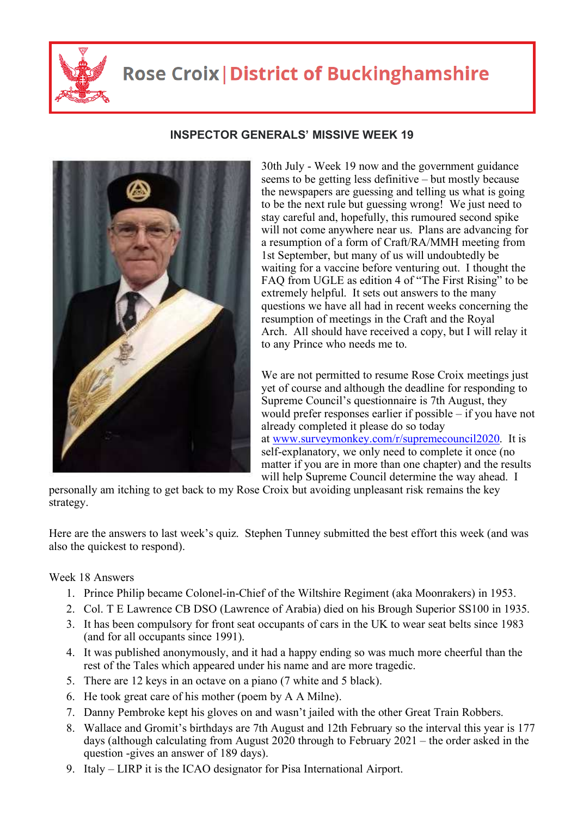

## **Rose Croix | District of Buckinghamshire**

## **INSPECTOR GENERALS' MISSIVE WEEK 19**

30th July - Week 19 now and the government guidance seems to be getting less definitive – but mostly because the newspapers are guessing and telling us what is going to be the next rule but guessing wrong! We just need to stay careful and, hopefully, this rumoured second spike will not come anywhere near us. Plans are advancing for a resumption of a form of Craft/RA/MMH meeting from 1st September, but many of us will undoubtedly be waiting for a vaccine before venturing out. I thought the FAQ from UGLE as edition 4 of "The First Rising" to be extremely helpful. It sets out answers to the many questions we have all had in recent weeks concerning the resumption of meetings in the Craft and the Royal Arch. All should have received a copy, but I will relay it to any Prince who needs me to.

We are not permitted to resume Rose Croix meetings just yet of course and although the deadline for responding to Supreme Council's questionnaire is 7th August, they would prefer responses earlier if possible – if you have not already completed it please do so today at www.surveymonkey.com/r/supremecouncil2020. It is self-explanatory, we only need to complete it once (no matter if you are in more than one chapter) and the results will help Supreme Council determine the way ahead. I

personally am itching to get back to my Rose Croix but avoiding unpleasant risk remains the key strategy.

Here are the answers to last week's quiz. Stephen Tunney submitted the best effort this week (and was also the quickest to respond).

Week 18 Answers

- 1. Prince Philip became Colonel-in-Chief of the Wiltshire Regiment (aka Moonrakers) in 1953.
- 2. Col. T E Lawrence CB DSO (Lawrence of Arabia) died on his Brough Superior SS100 in 1935.
- 3. It has been compulsory for front seat occupants of cars in the UK to wear seat belts since 1983 (and for all occupants since 1991).
- 4. It was published anonymously, and it had a happy ending so was much more cheerful than the rest of the Tales which appeared under his name and are more tragedic.
- 5. There are 12 keys in an octave on a piano (7 white and 5 black).
- 6. He took great care of his mother (poem by A A Milne).
- 7. Danny Pembroke kept his gloves on and wasn't jailed with the other Great Train Robbers.
- 8. Wallace and Gromit's birthdays are 7th August and 12th February so the interval this year is 177 days (although calculating from August 2020 through to February 2021 – the order asked in the question -gives an answer of 189 days).
- 9. Italy LIRP it is the ICAO designator for Pisa International Airport.